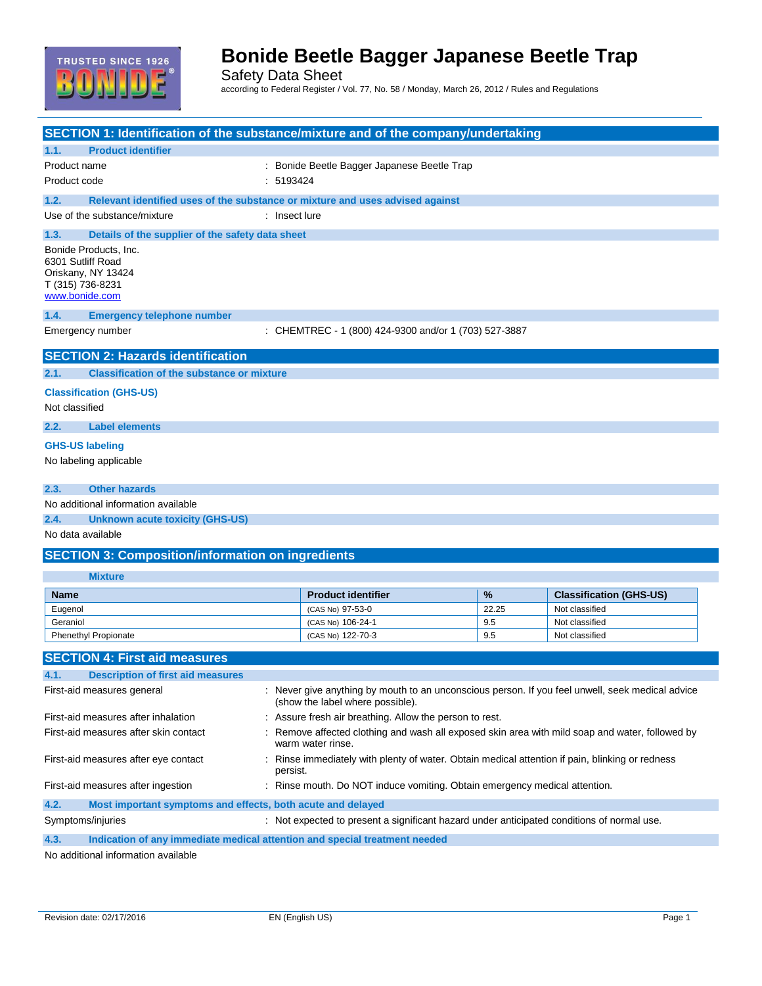

Safety Data Sheet according to Federal Register / Vol. 77, No. 58 / Monday, March 26, 2012 / Rules and Regulations

| SECTION 1: Identification of the substance/mixture and of the company/undertaking     |                                                                                                                                      |              |                                                                                               |  |
|---------------------------------------------------------------------------------------|--------------------------------------------------------------------------------------------------------------------------------------|--------------|-----------------------------------------------------------------------------------------------|--|
| <b>Product identifier</b><br>1.1.                                                     |                                                                                                                                      |              |                                                                                               |  |
| Product name                                                                          | Bonide Beetle Bagger Japanese Beetle Trap                                                                                            |              |                                                                                               |  |
| Product code                                                                          | : 5193424                                                                                                                            |              |                                                                                               |  |
| 1.2.<br>Relevant identified uses of the substance or mixture and uses advised against |                                                                                                                                      |              |                                                                                               |  |
| Use of the substance/mixture                                                          | : Insect lure                                                                                                                        |              |                                                                                               |  |
| 1.3.<br>Details of the supplier of the safety data sheet                              |                                                                                                                                      |              |                                                                                               |  |
| Bonide Products, Inc.                                                                 |                                                                                                                                      |              |                                                                                               |  |
| 6301 Sutliff Road                                                                     |                                                                                                                                      |              |                                                                                               |  |
| Oriskany, NY 13424                                                                    |                                                                                                                                      |              |                                                                                               |  |
| T (315) 736-8231<br>www.bonide.com                                                    |                                                                                                                                      |              |                                                                                               |  |
|                                                                                       |                                                                                                                                      |              |                                                                                               |  |
| 1.4.<br><b>Emergency telephone number</b>                                             |                                                                                                                                      |              |                                                                                               |  |
| Emergency number                                                                      | : CHEMTREC - 1 (800) 424-9300 and/or 1 (703) 527-3887                                                                                |              |                                                                                               |  |
| <b>SECTION 2: Hazards identification</b>                                              |                                                                                                                                      |              |                                                                                               |  |
| <b>Classification of the substance or mixture</b><br>2.1.                             |                                                                                                                                      |              |                                                                                               |  |
|                                                                                       |                                                                                                                                      |              |                                                                                               |  |
| <b>Classification (GHS-US)</b>                                                        |                                                                                                                                      |              |                                                                                               |  |
| Not classified                                                                        |                                                                                                                                      |              |                                                                                               |  |
| 2.2.<br><b>Label elements</b>                                                         |                                                                                                                                      |              |                                                                                               |  |
| <b>GHS-US labeling</b>                                                                |                                                                                                                                      |              |                                                                                               |  |
| No labeling applicable                                                                |                                                                                                                                      |              |                                                                                               |  |
|                                                                                       |                                                                                                                                      |              |                                                                                               |  |
| <b>Other hazards</b><br>2.3.                                                          |                                                                                                                                      |              |                                                                                               |  |
| No additional information available                                                   |                                                                                                                                      |              |                                                                                               |  |
| 2.4.<br><b>Unknown acute toxicity (GHS-US)</b>                                        |                                                                                                                                      |              |                                                                                               |  |
| No data available                                                                     |                                                                                                                                      |              |                                                                                               |  |
| <b>SECTION 3: Composition/information on ingredients</b>                              |                                                                                                                                      |              |                                                                                               |  |
| <b>Mixture</b>                                                                        |                                                                                                                                      |              |                                                                                               |  |
|                                                                                       |                                                                                                                                      |              |                                                                                               |  |
| <b>Name</b>                                                                           | <b>Product identifier</b>                                                                                                            | %            | <b>Classification (GHS-US)</b>                                                                |  |
| Eugenol<br>Geraniol                                                                   | (CAS No) 97-53-0                                                                                                                     | 22.25<br>9.5 | Not classified<br>Not classified                                                              |  |
| <b>Phenethyl Propionate</b>                                                           | (CAS No) 106-24-1<br>(CAS No) 122-70-3                                                                                               | 9.5          | Not classified                                                                                |  |
|                                                                                       |                                                                                                                                      |              |                                                                                               |  |
| <b>SECTION 4: First aid measures</b>                                                  |                                                                                                                                      |              |                                                                                               |  |
| <b>Description of first aid measures</b>                                              |                                                                                                                                      |              |                                                                                               |  |
| First-aid measures general                                                            | : Never give anything by mouth to an unconscious person. If you feel unwell, seek medical advice<br>(show the label where possible). |              |                                                                                               |  |
| First-aid measures after inhalation                                                   | : Assure fresh air breathing. Allow the person to rest.                                                                              |              |                                                                                               |  |
| First-aid measures after skin contact                                                 | warm water rinse.                                                                                                                    |              | Remove affected clothing and wash all exposed skin area with mild soap and water, followed by |  |
| First-aid measures after eye contact                                                  | Rinse immediately with plenty of water. Obtain medical attention if pain, blinking or redness<br>persist.                            |              |                                                                                               |  |
| First-aid measures after ingestion                                                    | : Rinse mouth. Do NOT induce vomiting. Obtain emergency medical attention.                                                           |              |                                                                                               |  |
| 4.2.<br>Most important symptoms and effects, both acute and delayed                   |                                                                                                                                      |              |                                                                                               |  |
|                                                                                       |                                                                                                                                      |              | : Not expected to present a significant hazard under anticipated conditions of normal use.    |  |
| Symptoms/injuries                                                                     |                                                                                                                                      |              |                                                                                               |  |

No additional information available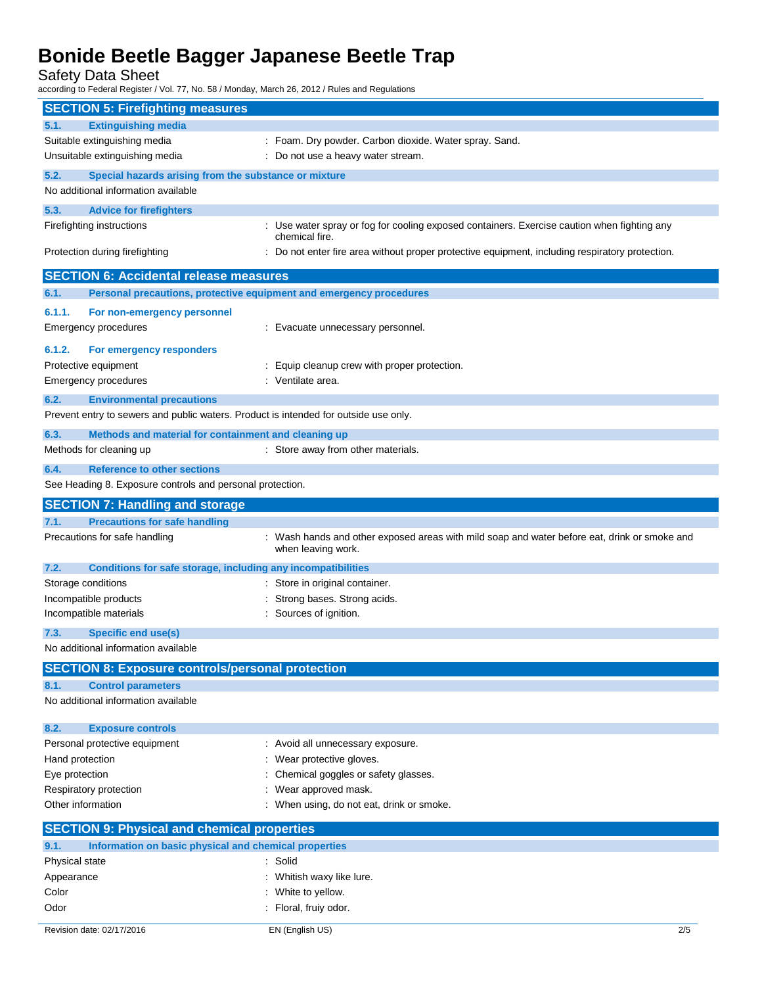Safety Data Sheet

according to Federal Register / Vol. 77, No. 58 / Monday, March 26, 2012 / Rules and Regulations

| <b>SECTION 5: Firefighting measures</b>                                              |                                                                                                                    |
|--------------------------------------------------------------------------------------|--------------------------------------------------------------------------------------------------------------------|
| <b>Extinguishing media</b><br>5.1.                                                   |                                                                                                                    |
| Suitable extinguishing media                                                         | : Foam. Dry powder. Carbon dioxide. Water spray. Sand.                                                             |
| Unsuitable extinguishing media                                                       | : Do not use a heavy water stream.                                                                                 |
| 5.2.<br>Special hazards arising from the substance or mixture                        |                                                                                                                    |
| No additional information available                                                  |                                                                                                                    |
| 5.3.<br><b>Advice for firefighters</b>                                               |                                                                                                                    |
| Firefighting instructions                                                            | : Use water spray or fog for cooling exposed containers. Exercise caution when fighting any                        |
|                                                                                      | chemical fire.                                                                                                     |
| Protection during firefighting                                                       | : Do not enter fire area without proper protective equipment, including respiratory protection.                    |
| <b>SECTION 6: Accidental release measures</b>                                        |                                                                                                                    |
| 6.1.<br>Personal precautions, protective equipment and emergency procedures          |                                                                                                                    |
|                                                                                      |                                                                                                                    |
| 6.1.1.<br>For non-emergency personnel                                                |                                                                                                                    |
| <b>Emergency procedures</b>                                                          | : Evacuate unnecessary personnel.                                                                                  |
| 6.1.2.<br>For emergency responders                                                   |                                                                                                                    |
| Protective equipment                                                                 | : Equip cleanup crew with proper protection.                                                                       |
| <b>Emergency procedures</b>                                                          | : Ventilate area.                                                                                                  |
| 6.2.<br><b>Environmental precautions</b>                                             |                                                                                                                    |
| Prevent entry to sewers and public waters. Product is intended for outside use only. |                                                                                                                    |
| 6.3.<br>Methods and material for containment and cleaning up                         |                                                                                                                    |
| Methods for cleaning up                                                              | : Store away from other materials.                                                                                 |
| 6.4.<br><b>Reference to other sections</b>                                           |                                                                                                                    |
| See Heading 8. Exposure controls and personal protection.                            |                                                                                                                    |
|                                                                                      |                                                                                                                    |
| <b>SECTION 7: Handling and storage</b>                                               |                                                                                                                    |
| <b>Precautions for safe handling</b><br>7.1.                                         |                                                                                                                    |
| Precautions for safe handling                                                        | : Wash hands and other exposed areas with mild soap and water before eat, drink or smoke and<br>when leaving work. |
| 7.2.<br>Conditions for safe storage, including any incompatibilities                 |                                                                                                                    |
| Storage conditions                                                                   | : Store in original container.                                                                                     |
| Incompatible products                                                                | Strong bases. Strong acids.                                                                                        |
| Incompatible materials                                                               | : Sources of ignition.                                                                                             |
| <b>Specific end use(s)</b><br>7.3.                                                   |                                                                                                                    |
| No additional information available                                                  |                                                                                                                    |
| <b>SECTION 8: Exposure controls/personal protection</b>                              |                                                                                                                    |
| <b>Control parameters</b><br>8.1.                                                    |                                                                                                                    |
| No additional information available                                                  |                                                                                                                    |
| <b>Exposure controls</b><br>8.2.                                                     |                                                                                                                    |
| Personal protective equipment                                                        | : Avoid all unnecessary exposure.                                                                                  |
| Hand protection                                                                      | : Wear protective gloves.                                                                                          |
| Eye protection                                                                       | Chemical goggles or safety glasses.                                                                                |
| Respiratory protection                                                               | : Wear approved mask.                                                                                              |
| Other information                                                                    | : When using, do not eat, drink or smoke.                                                                          |
| <b>SECTION 9: Physical and chemical properties</b>                                   |                                                                                                                    |
| Information on basic physical and chemical properties<br>9.1.                        |                                                                                                                    |
| Physical state                                                                       | : Solid                                                                                                            |
| Appearance                                                                           | Whitish waxy like lure.                                                                                            |
| Color                                                                                | White to yellow.                                                                                                   |
| Odor                                                                                 | : Floral, fruiy odor.                                                                                              |
|                                                                                      |                                                                                                                    |
| Revision date: 02/17/2016                                                            | EN (English US)<br>2/5                                                                                             |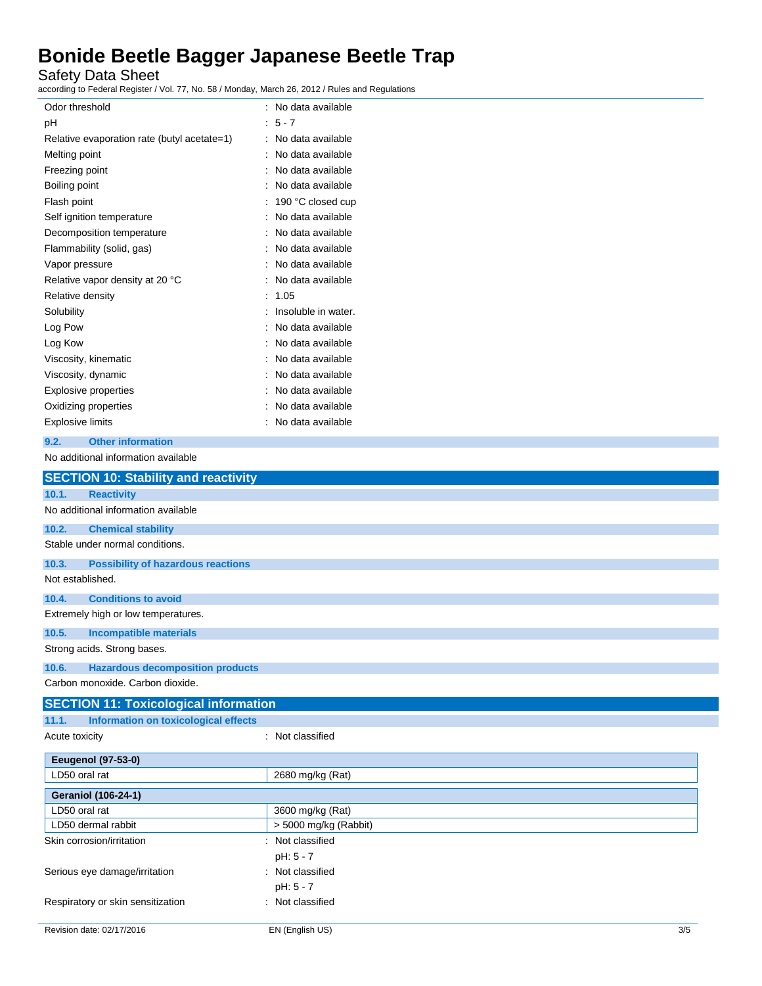Safety Data Sheet

according to Federal Register / Vol. 77, No. 58 / Monday, March 26, 2012 / Rules and Regulations

| Odor threshold                              | No data available   |
|---------------------------------------------|---------------------|
| рH                                          | $5 - 7$             |
| Relative evaporation rate (butyl acetate=1) | No data available   |
| Melting point                               | No data available   |
| Freezing point                              | No data available   |
| Boiling point                               | No data available   |
| Flash point                                 | 190 °C closed cup   |
| Self ignition temperature                   | No data available   |
| Decomposition temperature                   | No data available   |
| Flammability (solid, gas)                   | No data available   |
| Vapor pressure                              | No data available   |
| Relative vapor density at 20 °C             | No data available   |
| Relative density                            | 1.05                |
| Solubility                                  | Insoluble in water. |
| Log Pow                                     | No data available   |
| Log Kow                                     | No data available   |
| Viscosity, kinematic                        | No data available   |
| Viscosity, dynamic                          | No data available   |
| Explosive properties                        | No data available   |
| Oxidizing properties                        | No data available   |
| Explosive limits                            | No data available   |
|                                             |                     |

### **9.2. Other information**

No additional information available

|                  | <b>SECTION 10: Stability and reactivity</b>  |                  |
|------------------|----------------------------------------------|------------------|
| 10.1.            | <b>Reactivity</b>                            |                  |
|                  | No additional information available          |                  |
| 10.2.            | <b>Chemical stability</b>                    |                  |
|                  | Stable under normal conditions.              |                  |
| 10.3.            | <b>Possibility of hazardous reactions</b>    |                  |
| Not established. |                                              |                  |
| 10.4.            | <b>Conditions to avoid</b>                   |                  |
|                  | Extremely high or low temperatures.          |                  |
| 10.5.            | <b>Incompatible materials</b>                |                  |
|                  | Strong acids. Strong bases.                  |                  |
| 10.6.            | <b>Hazardous decomposition products</b>      |                  |
|                  | Carbon monoxide, Carbon dioxide.             |                  |
|                  | <b>SECTION 11: Toxicological information</b> |                  |
| 11.1.            | Information on toxicological effects         |                  |
| Acute toxicity   |                                              | : Not classified |

| <b>Eeugenol (97-53-0)</b>         |                         |
|-----------------------------------|-------------------------|
| LD50 oral rat                     | 2680 mg/kg (Rat)        |
| <b>Geraniol (106-24-1)</b>        |                         |
| LD50 oral rat                     | 3600 mg/kg (Rat)        |
| LD50 dermal rabbit                | $>$ 5000 mg/kg (Rabbit) |
| Skin corrosion/irritation         | : Not classified        |
|                                   | pH: 5 - 7               |
| Serious eye damage/irritation     | : Not classified        |
|                                   | pH: 5 - 7               |
| Respiratory or skin sensitization | : Not classified        |
|                                   |                         |
| Revision date: 02/17/2016         | 3/5<br>EN (English US)  |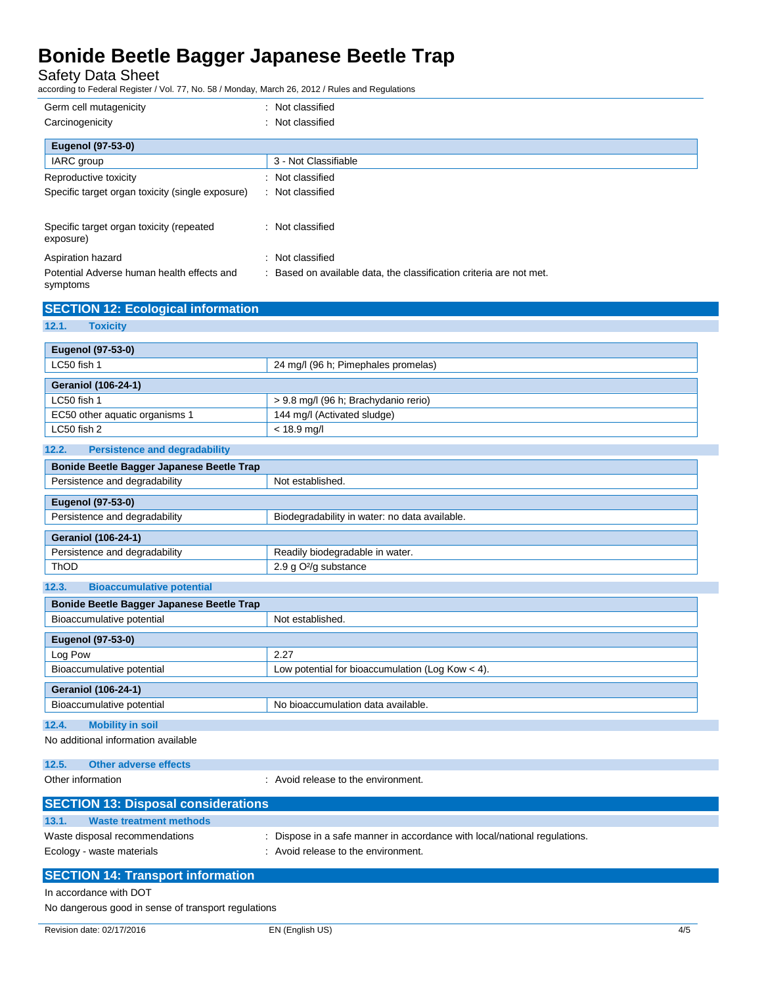Safety Data Sheet

according to Federal Register / Vol. 77, No. 58 / Monday, March 26, 2012 / Rules and Regulations

| : Not classified                                                    |
|---------------------------------------------------------------------|
| Not classified<br>÷.                                                |
|                                                                     |
| 3 - Not Classifiable                                                |
| : Not classified                                                    |
| : Not classified                                                    |
| : Not classified                                                    |
| : Not classified                                                    |
| : Based on available data, the classification criteria are not met. |
|                                                                     |

| <b>SECTION 12: Ecological information</b> |  |  |  |  |  |  |  |  |
|-------------------------------------------|--|--|--|--|--|--|--|--|
|-------------------------------------------|--|--|--|--|--|--|--|--|

### **12.1. Toxicity**

| Eugenol (97-53-0)              |                                      |
|--------------------------------|--------------------------------------|
| LC50 fish 1                    | 24 mg/l (96 h; Pimephales promelas)  |
| <b>Geraniol (106-24-1)</b>     |                                      |
| LC50 fish 1                    | > 9.8 mg/l (96 h; Brachydanio rerio) |
| EC50 other aquatic organisms 1 | 144 mg/l (Activated sludge)          |
| LC50 fish 2                    | $< 18.9$ mg/l                        |

#### **12.2. Persistence and degradability Bonide Beetle Bagger Japanese Beetle Trap**

| <b>BUILGE DECILE Dayger Japanese Decile Trap</b> |                                               |  |
|--------------------------------------------------|-----------------------------------------------|--|
| Persistence and degradability                    | Not established.                              |  |
|                                                  |                                               |  |
| Eugenol (97-53-0)                                |                                               |  |
| Persistence and degradability                    | Biodegradability in water: no data available. |  |
| <b>Geraniol (106-24-1)</b>                       |                                               |  |
|                                                  |                                               |  |
| Persistence and degradability                    | Readily biodegradable in water.               |  |
| ThOD                                             | 2.9 g O <sup>2</sup> /g substance             |  |

| 12.3.<br><b>Bioaccumulative potential</b> |                                                    |
|-------------------------------------------|----------------------------------------------------|
| Bonide Beetle Bagger Japanese Beetle Trap |                                                    |
| Bioaccumulative potential                 | Not established.                                   |
| <b>Eugenol (97-53-0)</b>                  |                                                    |
| Log Pow                                   | 2.27                                               |
| Bioaccumulative potential                 | Low potential for bioaccumulation (Log Kow $<$ 4). |
| <b>Geraniol (106-24-1)</b>                |                                                    |
| Bioaccumulative potential                 | No bioaccumulation data available.                 |

### **12.4. Mobility in soil**

No additional information available

| 12.5. | Other adverse effects |  |
|-------|-----------------------|--|
|       |                       |  |

Other information **CONFIDENTIAL CONFIDENT** Avoid release to the environment.

| <b>SECTION 13: Disposal considerations</b> |                                                                           |
|--------------------------------------------|---------------------------------------------------------------------------|
| 13.1.<br><b>Waste treatment methods</b>    |                                                                           |
| Waste disposal recommendations             | : Dispose in a safe manner in accordance with local/national regulations. |
| Ecology - waste materials                  | : Avoid release to the environment.                                       |
| <b>APARTMENT AT REA</b>                    |                                                                           |

### **SECTION 14: Transport information** In accordance with DOT

No dangerous good in sense of transport regulations